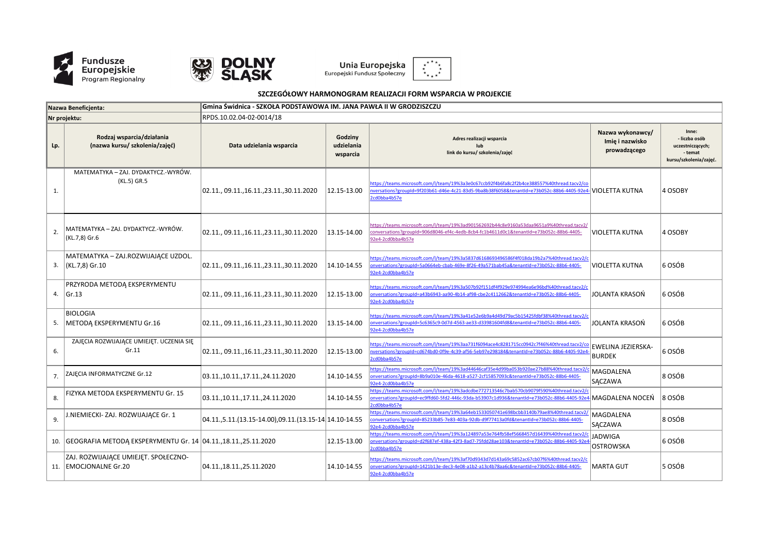



**Unia Europejska**<br>Europejski Fundusz Społeczny



## **SZCZEGÓŁOWY HARMONOGRAM REALIZACJI FORM WSPARCIA W PROJEKCIE**

| Nazwa Beneficienta: |                                                                         | Gmina Świdnica - SZKOŁA PODSTAWOWA IM. JANA PAWŁA II W GRODZISZCZU |                                   |                                                                                                                                                                                                                         |                                                     |                                                                                 |  |  |  |
|---------------------|-------------------------------------------------------------------------|--------------------------------------------------------------------|-----------------------------------|-------------------------------------------------------------------------------------------------------------------------------------------------------------------------------------------------------------------------|-----------------------------------------------------|---------------------------------------------------------------------------------|--|--|--|
| Nr projektu:        |                                                                         | RPDS.10.02.04-02-0014/18                                           |                                   |                                                                                                                                                                                                                         |                                                     |                                                                                 |  |  |  |
| Lp.                 | Rodzaj wsparcia/działania<br>(nazwa kursu/ szkolenia/zajęć)             | Data udzielania wsparcia                                           | Godziny<br>udzielania<br>wsparcia | Adres realizacji wsparcia<br>lub<br>link do kursu/ szkolenia/zajęć                                                                                                                                                      | Nazwa wykonawcy/<br>Imię i nazwisko<br>prowadzącego | Inne:<br>- liczba osób<br>uczestniczących;<br>- temat<br>kursu/szkolenia/zajęć. |  |  |  |
| 1.                  | MATEMATYKA - ZAJ. DYDAKTYCZ.-WYRÓW.<br>(KL.5) GR.5                      | 02.11., 09.11., 16.11., 23.11., 30.11.2020                         | 12.15-13.00                       | https://teams.microsoft.com/l/team/19%3a3e0c67ccb92f4b6fa8c2f2b4ce388557%40thread.tacv2/co<br>nversations?groupId=9f203b61-d46e-4c21-83d5-9ba8b38f6058&tenantId=e73b052c-88b6-4405-92e4- VIOLETTA KUTNA<br>2cd0bba4b57e |                                                     | 4 OSOBY                                                                         |  |  |  |
| 2.                  | MATEMATYKA – ZAJ. DYDAKTYCZ.-WYRÓW.<br>(KL.7,8) Gr.6                    | 02.11., 09.11., 16.11., 23.11., 30.11.2020                         | 13.15-14.00                       | https://teams.microsoft.com/l/team/19%3ad901562692b44c8e9160a53daa9651a9%40thread.tacv2/<br>conversations?groupId=906d8046-ef4c-4edb-8cb4-fc1b4611d0c1&tenantId=e73b052c-88b6-4405-<br>92e4-2cd0bba4b57e                | VIOLETTA KUTNA                                      | 4 OSOBY                                                                         |  |  |  |
|                     | MATEMATYKA – ZAJ.ROZWIJAJĄCE UZDOL.<br>3. $(KL.7, 8)$ Gr.10             | 02.11., 09.11., 16.11., 23.11., 30.11.2020                         | 14.10-14.55                       | https://teams.microsoft.com/l/team/19%3a5837d6168693496586f4f018da19b2a7%40thread.tacv2/c<br>onversations?groupId=5a0664eb-cbab-469e-8f26-49a571bab45a&tenantId=e73b052c-88b6-4405-<br>92e4-2cd0bba4b57e                | <b>VIOLETTA KUTNA</b>                               | 6 OSÓB                                                                          |  |  |  |
|                     | PRZYRODA METODĄ EKSPERYMENTU<br>4. Gr.13                                | 02.11., 09.11., 16.11., 23.11., 30.11.2020                         | 12.15-13.00                       | https://teams.microsoft.com/l/team/19%3a507b92f151df4f929e974994ea6e96bd%40thread.tacv2/c<br>onversations?groupId=a43b6943-aa90-4b14-af98-cbe2c4112662&tenantId=e73b052c-88b6-4405-<br>92e4-2cd0bba4b57e                | <b>JOLANTA KRASON</b>                               | 6 OSÓB                                                                          |  |  |  |
| 5.                  | <b>BIOLOGIA</b><br>METODA EKSPERYMENTU Gr.16                            | 02.11., 09.11., 16.11., 23.11., 30.11.2020                         | 13.15-14.00                       | https://teams.microsoft.com/l/team/19%3a41e52e6b9a4d49d79ac5b15425fdbf38%40thread.tacv2/c<br>nversations?groupId=5c6365c9-0d7d-4563-ae33-d33981604fd8&tenantId=e73b052c-88b6-4405-<br>92e4-2cd0bba4b57e                 | JOLANTA KRASOŃ                                      | 6 OSÓB                                                                          |  |  |  |
| 6.                  | ZAJĘCIA ROZWIJAJĄCE UMIEJĘT. UCZENIA SIĘ<br>Gr.11                       | 02.11., 09.11., 16.11., 23.11., 30.11.2020                         | 12.15-13.00                       | https://teams.microsoft.com/l/team/19%3aa731f6094ace4c8281715cc0942c7f46%40thread.tacv2/co<br>nversations?groupId=cd674bd0-0f9e-4c39-af56-5eb97e298184&tenantId=e73b052c-88b6-4405-92e4-<br>2cd0bba4b57e                | EWELINA JEZIERSKA-<br><b>BURDEK</b>                 | 6 OSÓB                                                                          |  |  |  |
| 7.                  | ZAJĘCIA INFORMATYCZNE Gr.12                                             | 03.11.,10.11.,17.11.,24.11.2020                                    | 14.10-14.55                       | https://teams.microsoft.com/l/team/19%3ad44646caf35e4d99ba053b920ae27b88%40thread.tacv2/c<br>onversations?groupId=8b9a010e-46da-4618-a527-2cf15857093c&tenantId=e73b052c-88b6-4405-<br>92e4-2cd0bba4b57e                | MAGDALENA<br>SĄCZAWA                                | 8 OSÓB                                                                          |  |  |  |
| 8.                  | FIZYKA METODA EKSPERYMENTU Gr. 15                                       | 03.11.,10.11.,17.11.,24.11.2020                                    | 14.10-14.55                       | https://teams.microsoft.com/l/team/19%3adcdbe772713546c7bab570cb9079f590%40thread.tacv2/c<br>2cd0bba4b57e                                                                                                               |                                                     | $ 8$ OSÓB                                                                       |  |  |  |
| 9.                  | .NIEMIECKI- ZAJ. ROZWIJAJĄCE Gr. 1                                      | 04.11.,5.11.(13.15-14.00),09.11.(13.15-14 14.10-14.55              |                                   | https://teams.microsoft.com/l/team/19%3a64eb1533050741e698bcbb3140b79ae8%40thread.tacv2/<br>conversations?groupId=85233b85-7e83-403a-92db-d9f77413a0fd&tenantId=e73b052c-88b6-4405-<br>92e4-2cd0bba4b57e                | MAGDALENA<br>SĄCZAWA                                | 8 OSÓB                                                                          |  |  |  |
|                     | 10.   GEOGRAFIA METODĄ EKSPERYMENTU Gr. 14   04.11., 18.11., 25.11.2020 |                                                                    | 12.15-13.00                       | https://teams.microsoft.com/l/team/19%3a124897a53e764fb58ef5668457d16439%40thread.tacv2/c<br>onversations?groupId=d2f687ef-438a-42f3-8ad7-75fdd28ae103&tenantId=e73b052c-88b6-4405-92e4<br>2cd0bba4b57e                 | <b>JADWIGA</b><br>OSTROWSKA                         | 6 OSÓB                                                                          |  |  |  |
|                     | ZAJ. ROZWIJAJĄCE UMIEJĘT. SPOŁECZNO-<br>11. EMOCJONALNE Gr.20           | 04.11.,18.11.,25.11.2020                                           | 14.10-14.55                       | https://teams.microsoft.com/l/team/19%3af70d9343d7d143a69c5852ac67cb07f6%40thread.tacv2/c<br>onversations?groupId=1421b13e-dec3-4e08-a1b2-a13c4b78aa6c&tenantId=e73b052c-88b6-4405-<br>92e4-2cd0bba4b57e                | <b>MARTA GUT</b>                                    | 5 OSÓB                                                                          |  |  |  |